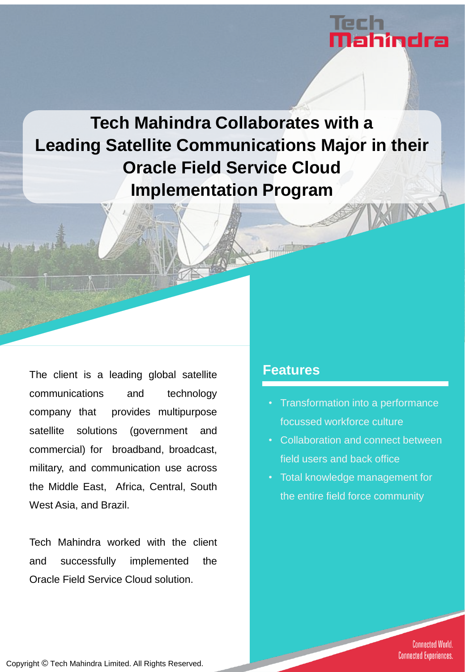# ahindra

**Tech Mahindra Collaborates with a Leading Satellite Communications Major in their Oracle Field Service Cloud Implementation Program**XIINX

The client is a leading global satellite communications and technology company that provides multipurpose satellite solutions (government and commercial) for broadband, broadcast, military, and communication use across the Middle East, Africa, Central, South West Asia, and Brazil.

Tech Mahindra worked with the client and successfully implemented the Oracle Field Service Cloud solution.

### **Features**

- Transformation into a performance focussed workforce culture
- Collaboration and connect between field users and back office
- Total knowledge management for the entire field force community

**Connected World. Connected Experiences.** 

Copyright © Tech Mahindra Limited. All Rights Reserved.